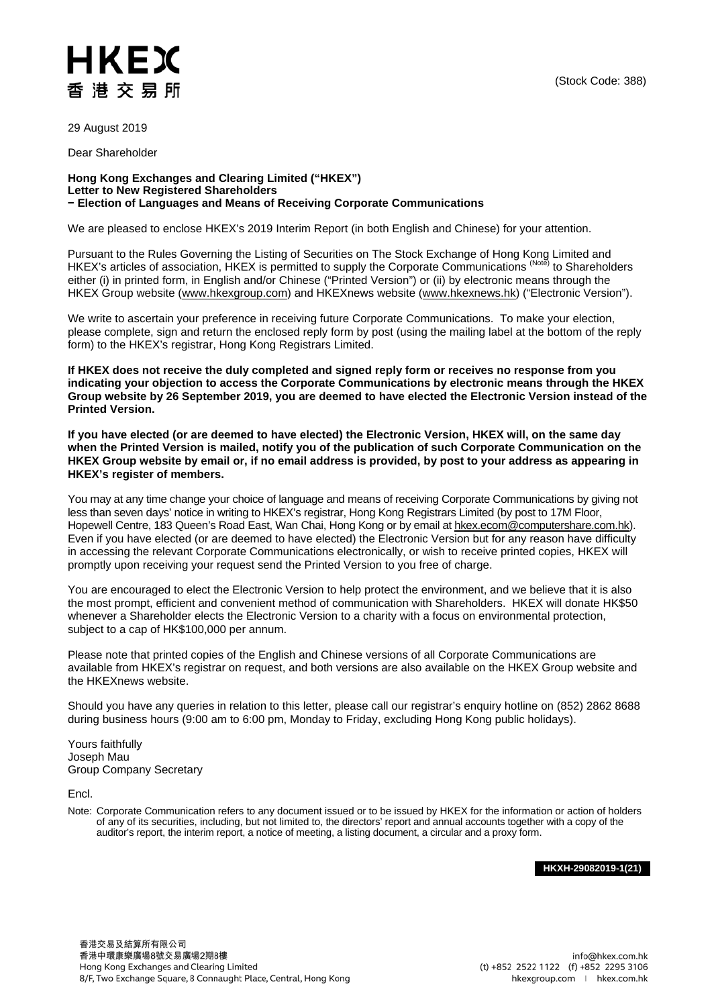## HKEX 香港交易所

29 August 2019

Dear Shareholder

## **Hong Kong Exchanges and Clearing Limited ("HKEX") Letter to New Registered Shareholders − Election of Languages and Means of Receiving Corporate Communications**

We are pleased to enclose HKEX's 2019 Interim Report (in both English and Chinese) for your attention.

Pursuant to the Rules Governing the Listing of Securities on The Stock Exchange of Hong Kong Limited and HKEX's articles of association, HKEX is permitted to supply the Corporate Communications (Note) to Shareholders either (i) in printed form, in English and/or Chinese ("Printed Version") or (ii) by electronic means through the HKEX Group website [\(www.hkexgroup.com\)](https://www.hkexgroup.com/?sc_lang=en) and HKEXnews website [\(www.hkexnews.hk\)](https://www.hkexnews.hk/) ("Electronic Version").

We write to ascertain your preference in receiving future Corporate Communications. To make your election, please complete, sign and return the enclosed reply form by post (using the mailing label at the bottom of the reply form) to the HKEX's registrar, Hong Kong Registrars Limited.

**If HKEX does not receive the duly completed and signed reply form or receives no response from you indicating your objection to access the Corporate Communications by electronic means through the HKEX Group website by 26 September 2019, you are deemed to have elected the Electronic Version instead of the Printed Version.** 

**If you have elected (or are deemed to have elected) the Electronic Version, HKEX will, on the same day when the Printed Version is mailed, notify you of the publication of such Corporate Communication on the HKEX Group website by email or, if no email address is provided, by post to your address as appearing in HKEX's register of members.**

You may at any time change your choice of language and means of receiving Corporate Communications by giving not less than seven days' notice in writing to HKEX's registrar, Hong Kong Registrars Limited (by post to 17M Floor, Hopewell Centre, 183 Queen's Road East, Wan Chai, Hong Kong or by email at [hkex.ecom@computershare.com.hk\)](mailto:hkex.ecom@computershare.com.hk). Even if you have elected (or are deemed to have elected) the Electronic Version but for any reason have difficulty in accessing the relevant Corporate Communications electronically, or wish to receive printed copies, HKEX will promptly upon receiving your request send the Printed Version to you free of charge.

You are encouraged to elect the Electronic Version to help protect the environment, and we believe that it is also the most prompt, efficient and convenient method of communication with Shareholders. HKEX will donate HK\$50 whenever a Shareholder elects the Electronic Version to a charity with a focus on environmental protection, subject to a cap of HK\$100,000 per annum.

Please note that printed copies of the English and Chinese versions of all Corporate Communications are available from HKEX's registrar on request, and both versions are also available on the HKEX Group website and the HKEXnews website.

Should you have any queries in relation to this letter, please call our registrar's enquiry hotline on (852) 2862 8688 during business hours (9:00 am to 6:00 pm, Monday to Friday, excluding Hong Kong public holidays).

Yours faithfully Joseph Mau Group Company Secretary

Encl.

Note: Corporate Communication refers to any document issued or to be issued by HKEX for the information or action of holders of any of its securities, including, but not limited to, the directors' report and annual accounts together with a copy of the auditor's report, the interim report, a notice of meeting, a listing document, a circular and a proxy form.

**HKXH-29082019-1(21)**